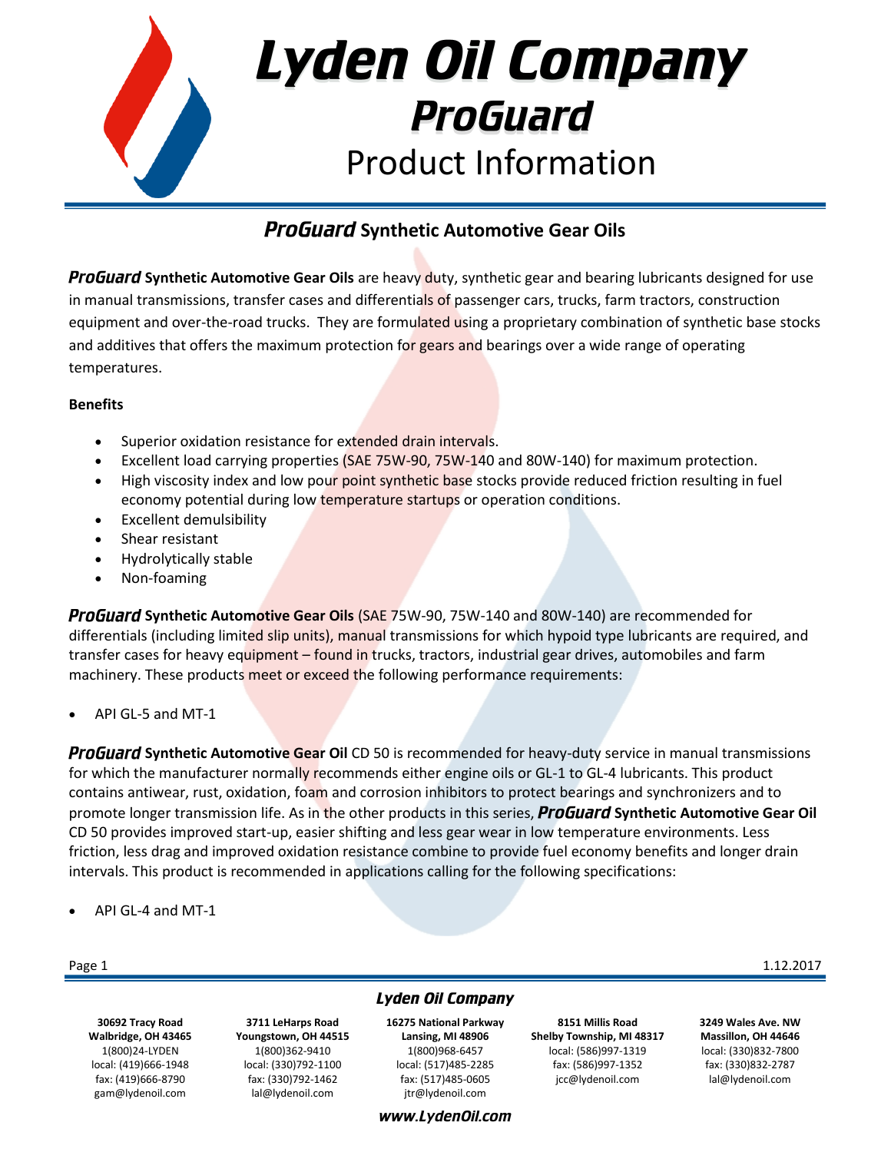

# **ProGuard Synthetic Automotive Gear Oils**

**ProGuard Synthetic Automotive Gear Oils** are heavy duty, synthetic gear and bearing lubricants designed for use in manual transmissions, transfer cases and differentials of passenger cars, trucks, farm tractors, construction equipment and over-the-road trucks. They are formulated using a proprietary combination of synthetic base stocks and additives that offers the maximum protection for gears and bearings over a wide range of operating temperatures.

# **Benefits**

- Superior oxidation resistance for extended drain intervals.
- Excellent load carrying properties (SAE 75W-90, 75W-140 and 80W-140) for maximum protection.
- High viscosity index and low pour point synthetic base stocks provide reduced friction resulting in fuel economy potential during low temperature startups or operation conditions.
- Excellent demulsibility
- Shear resistant
- Hydrolytically stable
- Non-foaming

**ProGuard Synthetic Automotive Gear Oils (SAE 75W-90, 75W-140 and 80W-140) are recommended for** differentials (including limited slip units), manual transmissions for which hypoid type lubricants are required, and transfer cases for heavy equipment – found in trucks, tractors, industrial gear drives, automobiles and farm machinery. These products meet or exceed the following performance requirements:

API GL-5 and MT-1

**ProGuard Synthetic Automotive Gear Oil CD 50 is recommended for heavy-duty service in manual transmissions** for which the manufacturer normally recommends either engine oils or GL-1 to GL-4 lubricants. This product contains antiwear, rust, oxidation, foam and corrosion inhibitors to protect bearings and synchronizers and to promote longer transmission life. As in the other products in this series, **ProGuard Synthetic Automotive Gear Oil** CD 50 provides improved start-up, easier shifting and less gear wear in low temperature environments. Less friction, less drag and improved oxidation resistance combine to provide fuel economy benefits and longer drain intervals. This product is recommended in applications calling for the following specifications:

API GL-4 and MT-1

**30692 Tracy Road Walbridge, OH 43465** 1(800)24-LYDEN local: (419)666-1948 fax: (419)666-8790 gam@lydenoil.com

**3711 LeHarps Road Youngstown, OH 44515** 1(800)362-9410 local: (330)792-1100 fax: (330)792-1462

lal@lydenoil.com

# **Lyden Oil Company**

**16275 National Parkway Lansing, MI 48906** 1(800)968-6457 local: (517)485-2285 fax: (517)485-0605 jtr@lydenoil.com

www.LydenOil.com

**8151 Millis Road Shelby Township, MI 48317** local: (586)997-1319 fax: (586)997-1352 jcc@lydenoil.com

**3249 Wales Ave. NW Massillon, OH 44646** local: (330)832-7800 fax: (330)832-2787 lal@lydenoil.com

### Page 1  $1.12.2017$